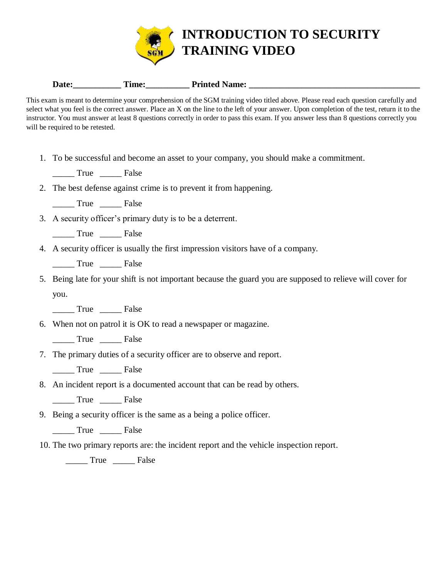

## **Date:\_\_\_\_\_\_\_\_\_\_\_ Time:\_\_\_\_\_\_\_\_\_\_ Printed Name: \_\_\_\_\_\_\_\_\_\_\_\_\_\_\_\_\_\_\_\_\_\_\_\_\_\_\_\_\_\_\_\_\_\_\_\_\_\_\_**

This exam is meant to determine your comprehension of the SGM training video titled above. Please read each question carefully and select what you feel is the correct answer. Place an X on the line to the left of your answer. Upon completion of the test, return it to the instructor. You must answer at least 8 questions correctly in order to pass this exam. If you answer less than 8 questions correctly you will be required to be retested.

1. To be successful and become an asset to your company, you should make a commitment.

True False

- 2. The best defense against crime is to prevent it from happening.
	- \_\_\_\_\_ True \_\_\_\_\_ False
- 3. A security officer's primary duty is to be a deterrent.

\_\_\_\_\_ True \_\_\_\_\_ False

- 4. A security officer is usually the first impression visitors have of a company.
	- \_\_\_\_\_ True \_\_\_\_\_ False

5. Being late for your shift is not important because the guard you are supposed to relieve will cover for you.

True False

- 6. When not on patrol it is OK to read a newspaper or magazine.
	- \_\_\_\_\_ True \_\_\_\_\_ False
- 7. The primary duties of a security officer are to observe and report.

True False

8. An incident report is a documented account that can be read by others.

\_\_\_\_\_ True \_\_\_\_\_ False

9. Being a security officer is the same as a being a police officer.

\_\_\_\_\_ True \_\_\_\_\_ False

10. The two primary reports are: the incident report and the vehicle inspection report.

\_\_\_\_\_ True \_\_\_\_\_ False